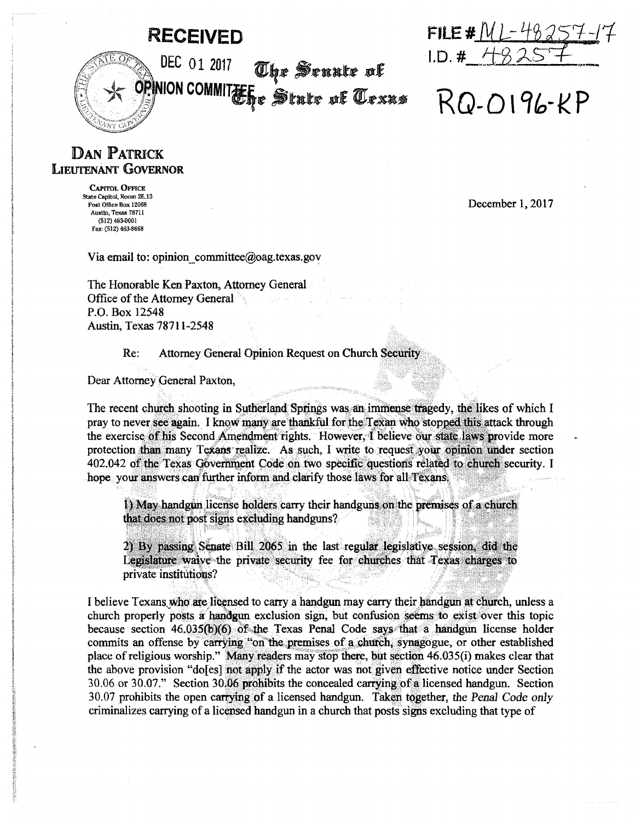## **RECEIVED**

DEC 01 2017



 $RO-O196-\kappa P$ 

## **DAN PATRICK LIEUTENANT GOVERNOR**

**CAPITOL OFFICE** State Capitol, Room 2E.13 Post Office Box 12068 Austin, Texas 78711 (512) 463-0001 Fax: (512) 463-8668

December 1, 2017

Via email to: opinion committee@oag.texas.gov

The Honorable Ken Paxton, Attorney General Office of the Attorney General P.O. Box 12548 Austin, Texas 78711-2548

## Re: Attorney General Opinion Request on Church Security

<sup>NEL 01 2017</sup> The Senate of<br>PNON COMMITE State of *Texxs* 

Dear Attorney General Paxton,

The recent church shooting in Sutherland Springs was an immense tragedy, the likes of which I pray to never see again. I know many are thankful for the Texan who stopped this attack through the exercise of his Second Amendment rights. However, I believe our state laws provide more protection than many Texans realize. As such, I write to request your opinion under section 402.042 of the Texas Government Code on two specific questions related to church security. I hope your answers can further inform and clarify those laws for all Texans.

I) May handgun license holders carry their handguns on the premises of a church that does not post signs excluding handguns?

2) By passing Senate Bill 2065 in the last regular legislative session, did the Legislature waive the private security fee for churches that Texas charges to private institutions?

I believe Texans who are licensed to carry a handgun may carry their handgun at church, unless a church properly posts a handgun exclusion sign, but confusion seems to exist over this topic because section 46.035(b)(6) of the Texas Penal Code says that a handgun license holder commits an offense by carrying "on the premises of a church, synagogue, or other established place of religious worship." Many readers may stop there, but section 46.035(i) makes clear that the above provision "do[es] not apply if the actor was not given effective notice under Section 30.06 or 30.07." Section 30.06 prohibits the concealed carrying of a licensed handgun. Section 30.07 prohibits the open carrying of a licensed handgun. Taken together, the Penal Code only criminalizes carrying of a licensed handgun in a church that posts signs excluding that type of